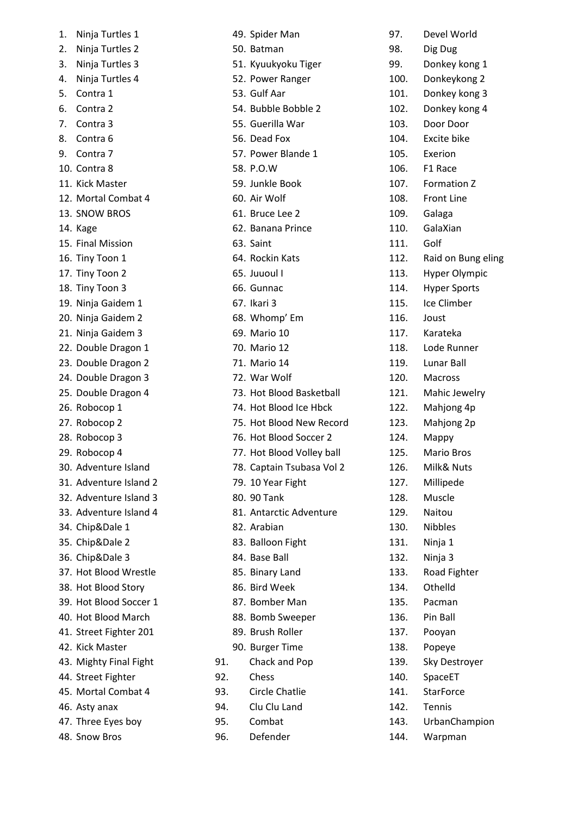| 1. | Ninja Turtles 1        |
|----|------------------------|
| 2. | Ninja Turtles 2        |
| 3. | Ninja Turtles 3        |
| 4. | Ninja Turtles 4        |
| 5. | Contra 1               |
| 6. | Contra 2               |
| 7. | Contra 3               |
| 8. | Contra <sub>6</sub>    |
| 9. | Contra 7               |
|    | 10. Contra 8           |
|    | 11. Kick Master        |
|    | 12. Mortal Combat 4    |
|    | 13. SNOW BROS          |
|    | 14. Kage               |
|    | 15. Final Mission      |
|    | 16. Tiny Toon 1        |
|    | 17. Tiny Toon 2        |
|    | 18. Tiny Toon 3        |
|    | 19. Ninja Gaidem 1     |
|    | 20. Ninja Gaidem 2     |
|    | 21. Ninja Gaidem 3     |
|    | 22. Double Dragon 1    |
|    | 23. Double Dragon 2    |
|    | 24. Double Dragon 3    |
|    | 25. Double Dragon 4    |
|    | 26. Robocop 1          |
|    | 27. Robocop 2          |
|    | 28. Robocop 3          |
|    | 29. Robocop 4          |
|    | 30. Adventure Island   |
|    | 31. Adventure Island 2 |
|    | 32. Adventure Island 3 |
|    | 33. Adventure Island 4 |
|    | 34. Chip&Dale 1        |
|    | 35. Chip&Dale 2        |
|    | 36. Chip&Dale 3        |
|    | 37. Hot Blood Wrestle  |
|    | 38. Hot Blood Story    |
|    | 39. Hot Blood Soccer 1 |
|    | 40. Hot Blood March    |
|    | 41. Street Fighter 201 |
|    | 42. Kick Master        |
|    | 43. Mighty Final Fight |
|    | 44. Street Fighter     |
|    | 45. Mortal Combat 4    |
|    | 46. Asty anax          |
|    | 47. Three Eyes boy     |
|    | 48. Snow Bros          |

|     | 49. Spider Man            |
|-----|---------------------------|
|     | 50. Batman                |
|     | 51. Kyuukyoku Tiger       |
|     | 52. Power Ranger          |
|     | 53. Gulf Aar              |
|     | 54. Bubble Bobble 2       |
|     | 55. Guerilla War          |
|     | 56. Dead Fox              |
|     | 57. Power Blande 1        |
|     | 58. P.O.W                 |
|     | 59. Junkle Book           |
|     | 60. Air Wolf              |
|     | 61. Bruce Lee 2           |
|     | 62. Banana Prince         |
|     | 63. Saint                 |
|     | 64. Rockin Kats           |
|     | 65. Juuoul I              |
|     | 66. Gunnac                |
|     | 67. Ikari 3               |
|     | 68. Whomp' Em             |
|     | 69. Mario 10              |
|     | 70. Mario 12              |
|     | 71. Mario 14              |
|     | 72. War Wolf              |
|     | 73. Hot Blood Basketball  |
|     | 74. Hot Blood Ice Hbck    |
|     | 75. Hot Blood New Record  |
|     | 76. Hot Blood Soccer 2    |
|     | 77. Hot Blood Volley ball |
|     | 78. Captain Tsubasa Vol 2 |
|     | 79. 10 Year Fight         |
|     | 80. 90 Tank               |
|     | 81. Antarctic Adventure   |
|     | 82. Arabian               |
|     | 83. Balloon Fight         |
|     | 84. Base Ball             |
|     | 85. Binary Land           |
|     | 86. Bird Week             |
|     | 87. Bomber Man            |
|     | 88. Bomb Sweeper          |
|     | 89. Brush Roller          |
|     | 90. Burger Time           |
| 91. | Chack and Pop             |
| 92. | Chess                     |
| 93. | <b>Circle Chatlie</b>     |
| 94. | Clu Clu Land              |
| 95. | Combat                    |
| 96. | Defender                  |
|     |                           |

| 97.  | Devel World          |
|------|----------------------|
| 98.  | Dig Dug              |
| 99.  | Donkey kong 1        |
| 100. | Donkeykong 2         |
| 101. | Donkey kong 3        |
| 102. | Donkey kong 4        |
| 103. | Door Door            |
| 104. | Excite bike          |
| 105. | Exerion              |
| 106. | F1 Race              |
| 107. | Formation Z          |
| 108. | <b>Front Line</b>    |
| 109. | Galaga               |
| 110. | GalaXian             |
| 111. | Golf                 |
| 112. | Raid on Bung eling   |
| 113. | <b>Hyper Olympic</b> |
| 114. |                      |
|      | <b>Hyper Sports</b>  |
| 115. | Ice Climber          |
| 116. | Joust                |
| 117. | Karateka             |
| 118. | Lode Runner          |
| 119. | Lunar Ball           |
| 120. | Macross              |
| 121. | Mahic Jewelry        |
| 122. | Mahjong 4p           |
| 123. | Mahjong 2p           |
| 124. | Mappy                |
| 125. | Mario Bros           |
| 126. | Milk& Nuts           |
| 127. | Millipede            |
| 128. | Muscle               |
| 129. | Naitou               |
| 130. | Nibbles              |
| 131. | Ninja 1              |
| 132. | Ninja 3              |
| 133. | Road Fighter         |
| 134. | Othelld              |
| 135. | Pacman               |
| 136. | Pin Ball             |
| 137. | Pooyan               |
| 138. | Popeye               |
| 139. | Sky Destroyer        |
| 140. | SpaceET              |
| 141. | <b>StarForce</b>     |
| 142. | Tennis               |
| 143. | UrbanChampion        |
| 144. | Warpman              |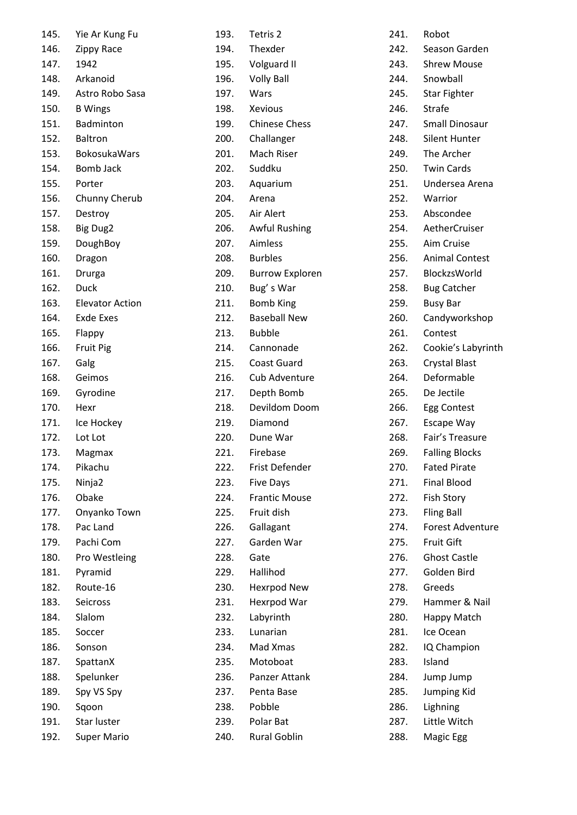| Yie Ar Kung Fu          |
|-------------------------|
| 146.<br>Zippy Race      |
| 1942                    |
| Arkanoid                |
| Astro Robo Sasa         |
| 150. B Wings            |
| 151. Badminton          |
| <b>Baltron</b>          |
| 153. BokosukaWars       |
| Bomb Jack               |
| Porter                  |
| Chunny Cherub           |
| Destroy                 |
| 158.<br><b>Big Dug2</b> |
| DoughBoy                |
| 160.<br>Dragon          |
| 161.<br>Drurga          |
| Duck                    |
| 163. Elevator Action    |
| <b>Exde Exes</b>        |
| 165. Flappy             |
| <b>Fruit Pig</b>        |
| 167. Galg               |
| Geimos                  |
| Gyrodine                |
| 170. Hexr               |
| Ice Hockey              |
| Lot Lot                 |
| Magmax                  |
| Pikachu                 |
| Ninja2                  |
| Obake                   |
| Onyanko Town            |
| Pac Land                |
| Pachi Com               |
| Pro Westleing           |
| Pyramid                 |
| Route-16                |
| Seicross                |
| Slalom                  |
| Soccer                  |
| Sonson                  |
| SpattanX                |
| Spelunker               |
| Spy VS Spy              |
| Sqoon                   |
| Star luster             |
| <b>Super Mario</b>      |
|                         |

| 193. | Tetris 2               |
|------|------------------------|
| 194. | Thexder                |
| 195. | Volguard II            |
| 196. | <b>Volly Ball</b>      |
| 197. | Wars                   |
| 198. | Xevious                |
| 199. | <b>Chinese Chess</b>   |
| 200. | Challanger             |
| 201. | Mach Riser             |
| 202. | Suddku                 |
| 203. | Aquarium               |
| 204. | Arena                  |
| 205. | Air Alert              |
| 206. | <b>Awful Rushing</b>   |
| 207. | Aimless                |
| 208. | Burbles                |
| 209. | <b>Burrow Exploren</b> |
| 210. | Bug's War              |
| 211. | Bomb King              |
| 212. | <b>Baseball New</b>    |
| 213. | Bubble                 |
| 214. | Cannonade              |
| 215. | <b>Coast Guard</b>     |
| 216. | Cub Adventure          |
| 217. | Depth Bomb             |
| 218. | Devildom Doom          |
| 219. | Diamond                |
| 220. | Dune War               |
| 221. | Firebase               |
| 222. | Frist Defender         |
| 223. | <b>Five Days</b>       |
| 224. | <b>Frantic Mouse</b>   |
| 225. | Fruit dish             |
| 226. | Gallagant              |
| 227. | Garden War             |
| 228. | Gate                   |
| 229. | Hallihod               |
| 230. | <b>Hexrpod New</b>     |
| 231. | Hexrpod War            |
| 232. | Labyrinth              |
| 233. | Lunarian               |
| 234. | Mad Xmas               |
| 235. | Motoboat               |
| 236. | Panzer Attank          |
| 237. | Penta Base             |
| 238. | Pobble                 |
| 239. | Polar Bat              |
| 240. | <b>Rural Goblin</b>    |
|      |                        |

| 241. | Robot                   |
|------|-------------------------|
| 242. | Season Garden           |
| 243. | <b>Shrew Mouse</b>      |
| 244. | Snowball                |
| 245. | <b>Star Fighter</b>     |
| 246. | Strafe                  |
| 247. | <b>Small Dinosaur</b>   |
| 248. | <b>Silent Hunter</b>    |
| 249. | The Archer              |
| 250. | <b>Twin Cards</b>       |
| 251. | Undersea Arena          |
| 252. | Warrior                 |
| 253. | Abscondee               |
| 254. | AetherCruiser           |
| 255. | Aim Cruise              |
| 256. | <b>Animal Contest</b>   |
| 257. | BlockzsWorld            |
| 258. | <b>Bug Catcher</b>      |
| 259. | <b>Busy Bar</b>         |
| 260. | Candyworkshop           |
| 261. | Contest                 |
| 262. | Cookie's Labyrinth      |
| 263. | <b>Crystal Blast</b>    |
| 264. | Deformable              |
| 265. | De Jectile              |
| 266. | <b>Egg Contest</b>      |
| 267. | Escape Way              |
| 268. | Fair's Treasure         |
| 269. | <b>Falling Blocks</b>   |
| 270. | Fated Pirate            |
| 271. | <b>Final Blood</b>      |
| 272. | <b>Fish Story</b>       |
| 273. | <b>Fling Ball</b>       |
| 274. | <b>Forest Adventure</b> |
| 275. | <b>Fruit Gift</b>       |
| 276. | <b>Ghost Castle</b>     |
| 277. | Golden Bird             |
| 278. | Greeds                  |
| 279. | Hammer & Nail           |
| 280. | Happy Match             |
| 281. | Ice Ocean               |
| 282. | IQ Champion             |
| 283. | Island                  |
| 284. | Jump Jump               |
| 285. | Jumping Kid             |
| 286. | Lighning                |
| 287. | Little Witch            |
| 288. | Magic Egg               |
|      |                         |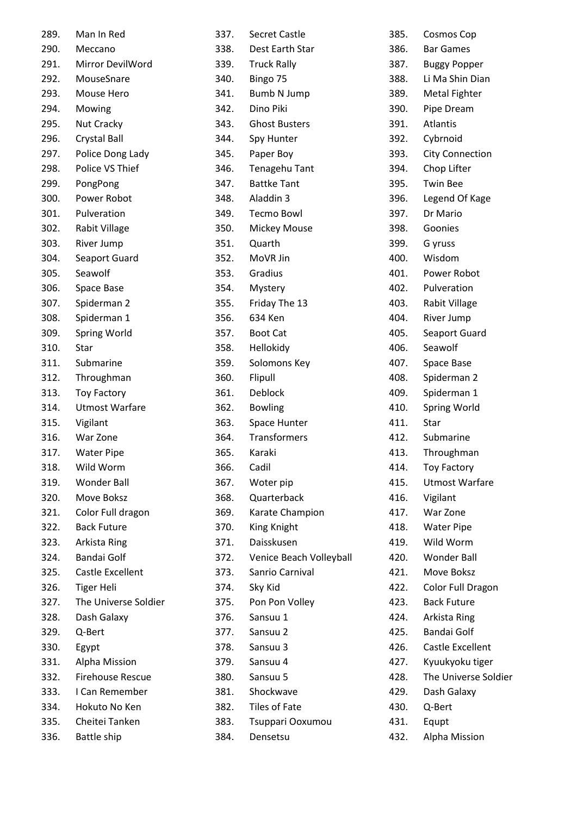| Man In Red               |
|--------------------------|
| Meccano                  |
| 291.<br>Mirror DevilWord |
| MouseSnare               |
| Mouse Hero               |
| Mowing                   |
| <b>Nut Cracky</b>        |
| <b>Crystal Ball</b>      |
| Police Dong Lady         |
| Police VS Thief          |
| PongPong                 |
| 300. Power Robot         |
| Pulveration              |
| 302.<br>Rabit Village    |
| River Jump               |
| Seaport Guard            |
| Seawolf                  |
| Space Base               |
| Spiderman 2              |
| Spiderman 1              |
| Spring World             |
| Star                     |
| Submarine                |
| Throughman               |
| <b>Toy Factory</b>       |
| <b>Utmost Warfare</b>    |
| Vigilant                 |
| War Zone                 |
| <b>Water Pipe</b>        |
| Wild Worm                |
| <b>Wonder Ball</b>       |
| Move Boksz               |
| Color Full dragon        |
| <b>Back Future</b>       |
| Arkista Ring             |
| <b>Bandai Golf</b>       |
| Castle Excellent         |
| <b>Tiger Heli</b>        |
| The Universe Soldier     |
| Dash Galaxy              |
| Q-Bert                   |
| Egypt                    |
| <b>Alpha Mission</b>     |
| <b>Firehouse Rescue</b>  |
| I Can Remember           |
| Hokuto No Ken            |
|                          |
| Cheitei Tanken           |
|                          |

| 337. | <b>Secret Castle</b>    |
|------|-------------------------|
| 338. | Dest Earth Star         |
| 339. | <b>Truck Rally</b>      |
| 340. | Bingo 75                |
|      | 341. Bumb N Jump        |
| 342. | Dino Piki               |
| 343. | <b>Ghost Busters</b>    |
| 344. | Spy Hunter              |
|      | 345. Paper Boy          |
| 346. | Tenagehu Tant           |
| 347. | <b>Battke Tant</b>      |
|      | 348. Aladdin 3          |
| 349. | <b>Tecmo Bowl</b>       |
|      | 350. Mickey Mouse       |
| 351. | Quarth                  |
|      | 352. MoVR Jin           |
| 353. | Gradius                 |
| 354. | Mystery                 |
|      | 355. Friday The 13      |
| 356. | 634 Ken                 |
|      | 357. Boot Cat           |
| 358. | Hellokidy               |
| 359. | Solomons Key            |
| 360. | Flipull                 |
| 361. | Deblock                 |
|      | 362. Bowling            |
| 363. | <b>Space Hunter</b>     |
|      | 364. Transformers       |
|      | 365. Karaki             |
| 366. | Cadil                   |
| 367. | Woter pip               |
| 368. | Quarterback             |
| 369. | Karate Champion         |
| 370. | King Knight             |
| 371. | Daisskusen              |
| 372. | Venice Beach Volleyball |
| 373. | Sanrio Carnival         |
| 374. | Sky Kid                 |
| 375. | Pon Pon Volley          |
| 376. | Sansuu 1                |
| 377. | Sansuu 2                |
| 378. | Sansuu 3                |
| 379. | Sansuu 4                |
| 380. | Sansuu 5                |
| 381. | Shockwave               |
| 382. | Tiles of Fate           |
| 383. | Tsuppari Ooxumou        |
| 384. | Densetsu                |

| 385. | Cosmos Cop              |
|------|-------------------------|
| 386. | <b>Bar Games</b>        |
| 387. | <b>Buggy Popper</b>     |
| 388. | Li Ma Shin Dian         |
| 389. | <b>Metal Fighter</b>    |
| 390. | Pipe Dream              |
| 391. | <b>Atlantis</b>         |
| 392. | Cybrnoid                |
| 393. | <b>City Connection</b>  |
| 394. | Chop Lifter             |
| 395. | <b>Twin Bee</b>         |
| 396. | Legend Of Kage          |
| 397. | Dr Mario                |
| 398. | Goonies                 |
| 399. | G yruss                 |
| 400. | Wisdom                  |
| 401. | Power Robot             |
| 402. | Pulveration             |
| 403. | Rabit Village           |
| 404. | River Jump              |
| 405. | Seaport Guard           |
| 406. | Seawolf                 |
| 407. | Space Base              |
| 408. | Spiderman 2             |
| 409. | Spiderman 1             |
| 410. | <b>Spring World</b>     |
| 411. | Star                    |
| 412. | Submarine               |
| 413. | Throughman              |
| 414. | <b>Toy Factory</b>      |
| 415. | <b>Utmost Warfare</b>   |
| 416. | Vigilant                |
| 417. | War Zone                |
| 418. | <b>Water Pipe</b>       |
| 419. | Wild Worm               |
| 420. | <b>Wonder Ball</b>      |
| 421. | Move Boksz              |
| 422. | Color Full Dragon       |
| 423. | <b>Back Future</b>      |
| 424. | Arkista Ring            |
| 425. | <b>Bandai Golf</b>      |
| 426. | <b>Castle Excellent</b> |
| 427. | Kyuukyoku tiger         |
| 428. | The Universe Soldier    |
| 429. | Dash Galaxy             |
| 430. | Q-Bert                  |
| 431. | Equpt                   |
| 432. | Alpha Mission           |
|      |                         |